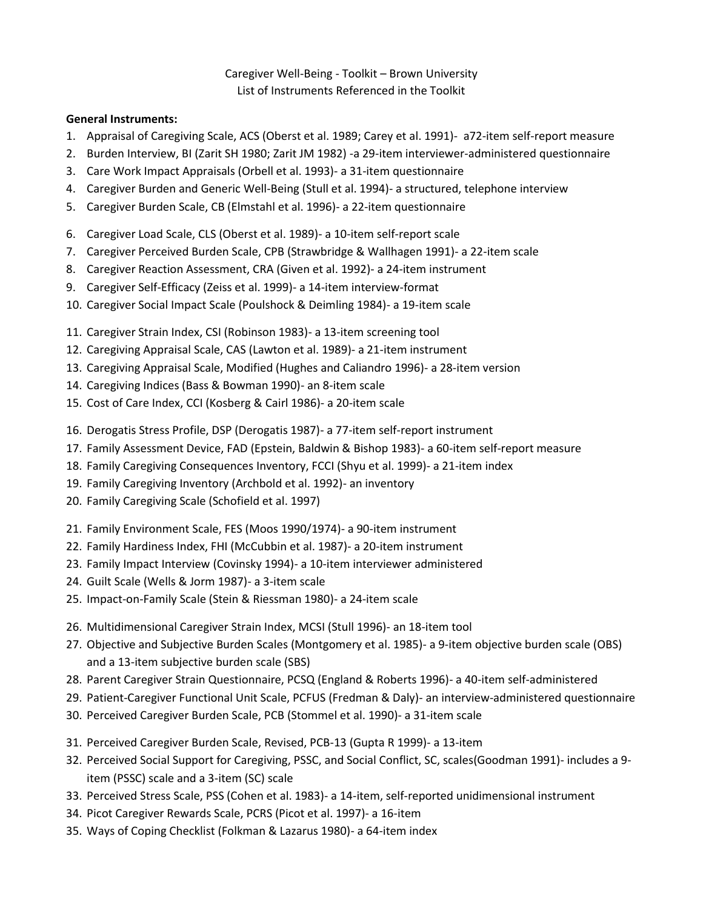#### Caregiver Well-Being - Toolkit – Brown University List of Instruments Referenced in the Toolkit

#### **General Instruments:**

- 1. Appraisal of Caregiving Scale, ACS (Oberst et al. 1989; Carey et al. 1991)- a72-item self-report measure
- 2. Burden Interview, BI (Zarit SH 1980; Zarit JM 1982) -a 29-item interviewer-administered questionnaire
- 3. Care Work Impact Appraisals (Orbell et al. 1993)- a 31-item questionnaire
- 4. Caregiver Burden and Generic Well-Being (Stull et al. 1994)- a structured, telephone interview
- 5. Caregiver Burden Scale, CB (Elmstahl et al. 1996)- a 22-item questionnaire
- 6. Caregiver Load Scale, CLS (Oberst et al. 1989)- a 10-item self-report scale
- 7. Caregiver Perceived Burden Scale, CPB (Strawbridge & Wallhagen 1991)- a 22-item scale
- 8. Caregiver Reaction Assessment, CRA (Given et al. 1992)- a 24-item instrument
- 9. Caregiver Self-Efficacy (Zeiss et al. 1999)- a 14-item interview-format
- 10. Caregiver Social Impact Scale (Poulshock & Deimling 1984)- a 19-item scale
- 11. Caregiver Strain Index, CSI (Robinson 1983)- a 13-item screening tool
- 12. Caregiving Appraisal Scale, CAS (Lawton et al. 1989)- a 21-item instrument
- 13. Caregiving Appraisal Scale, Modified (Hughes and Caliandro 1996)- a 28-item version
- 14. Caregiving Indices (Bass & Bowman 1990)- an 8-item scale
- 15. Cost of Care Index, CCI (Kosberg & Cairl 1986)- a 20-item scale
- 16. Derogatis Stress Profile, DSP (Derogatis 1987)- a 77-item self-report instrument
- 17. Family Assessment Device, FAD (Epstein, Baldwin & Bishop 1983)- a 60-item self-report measure
- 18. Family Caregiving Consequences Inventory, FCCI (Shyu et al. 1999)- a 21-item index
- 19. Family Caregiving Inventory (Archbold et al. 1992)- an inventory
- 20. Family Caregiving Scale (Schofield et al. 1997)
- 21. Family Environment Scale, FES (Moos 1990/1974)- a 90-item instrument
- 22. Family Hardiness Index, FHI (McCubbin et al. 1987)- a 20-item instrument
- 23. Family Impact Interview (Covinsky 1994)- a 10-item interviewer administered
- 24. Guilt Scale (Wells & Jorm 1987)- a 3-item scale
- 25. Impact-on-Family Scale (Stein & Riessman 1980)- a 24-item scale
- 26. Multidimensional Caregiver Strain Index, MCSI (Stull 1996)- an 18-item tool
- 27. Objective and Subjective Burden Scales (Montgomery et al. 1985)- a 9-item objective burden scale (OBS) and a 13-item subjective burden scale (SBS)
- 28. Parent Caregiver Strain Questionnaire, PCSQ (England & Roberts 1996)- a 40-item self-administered
- 29. Patient-Caregiver Functional Unit Scale, PCFUS (Fredman & Daly)- an interview-administered questionnaire
- 30. Perceived Caregiver Burden Scale, PCB (Stommel et al. 1990)- a 31-item scale
- 31. Perceived Caregiver Burden Scale, Revised, PCB-13 (Gupta R 1999)- a 13-item
- 32. Perceived Social Support for Caregiving, PSSC, and Social Conflict, SC, scales(Goodman 1991)- includes a 9 item (PSSC) scale and a 3-item (SC) scale
- 33. Perceived Stress Scale, PSS (Cohen et al. 1983)- a 14-item, self-reported unidimensional instrument
- 34. Picot Caregiver Rewards Scale, PCRS (Picot et al. 1997)- a 16-item
- 35. Ways of Coping Checklist (Folkman & Lazarus 1980)- a 64-item index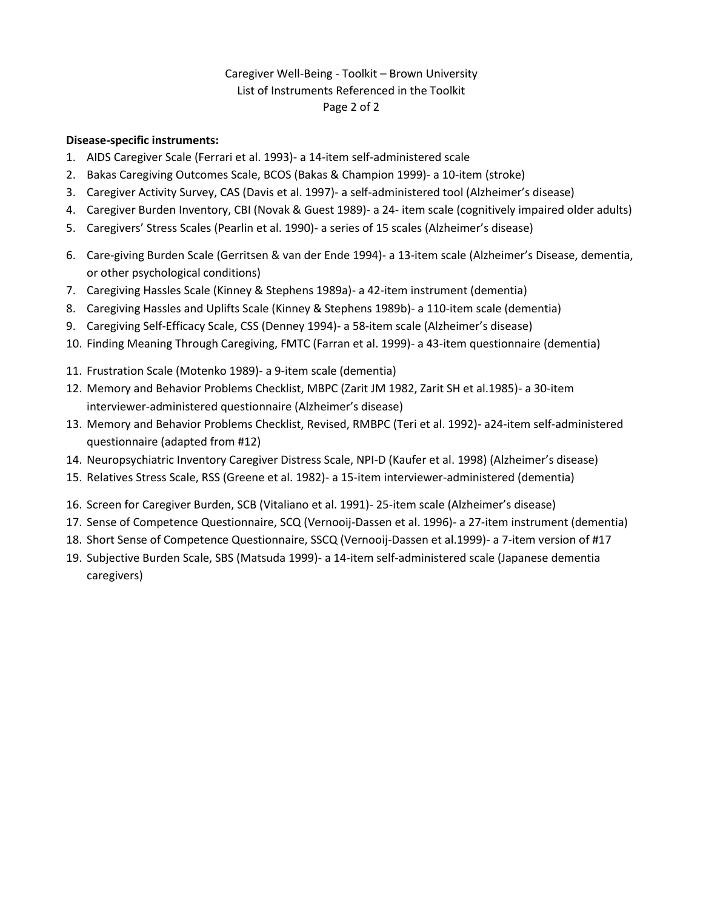## Caregiver Well-Being - Toolkit – Brown University List of Instruments Referenced in the Toolkit Page 2 of 2

#### **Disease-specific instruments:**

- 1. AIDS Caregiver Scale (Ferrari et al. 1993)- a 14-item self-administered scale
- 2. Bakas Caregiving Outcomes Scale, BCOS (Bakas & Champion 1999)- a 10-item (stroke)
- 3. Caregiver Activity Survey, CAS (Davis et al. 1997)- a self-administered tool (Alzheimer's disease)
- 4. Caregiver Burden Inventory, CBI (Novak & Guest 1989)- a 24- item scale (cognitively impaired older adults)
- 5. Caregivers' Stress Scales (Pearlin et al. 1990)- a series of 15 scales (Alzheimer's disease)
- 6. Care-giving Burden Scale (Gerritsen & van der Ende 1994)- a 13-item scale (Alzheimer's Disease, dementia, or other psychological conditions)
- 7. Caregiving Hassles Scale (Kinney & Stephens 1989a)- a 42-item instrument (dementia)
- 8. Caregiving Hassles and Uplifts Scale (Kinney & Stephens 1989b)- a 110-item scale (dementia)
- 9. Caregiving Self-Efficacy Scale, CSS (Denney 1994)- a 58-item scale (Alzheimer's disease)
- 10. Finding Meaning Through Caregiving, FMTC (Farran et al. 1999)- a 43-item questionnaire (dementia)
- 11. Frustration Scale (Motenko 1989)- a 9-item scale (dementia)
- 12. Memory and Behavior Problems Checklist, MBPC (Zarit JM 1982, Zarit SH et al.1985)- a 30-item interviewer-administered questionnaire (Alzheimer's disease)
- 13. Memory and Behavior Problems Checklist, Revised, RMBPC (Teri et al. 1992)- a24-item self-administered questionnaire (adapted from #12)
- 14. Neuropsychiatric Inventory Caregiver Distress Scale, NPI-D (Kaufer et al. 1998) (Alzheimer's disease)
- 15. Relatives Stress Scale, RSS (Greene et al. 1982)- a 15-item interviewer-administered (dementia)
- 16. Screen for Caregiver Burden, SCB (Vitaliano et al. 1991)- 25-item scale (Alzheimer's disease)
- 17. Sense of Competence Questionnaire, SCQ (Vernooij-Dassen et al. 1996)- a 27-item instrument (dementia)
- 18. Short Sense of Competence Questionnaire, SSCQ (Vernooij-Dassen et al.1999)- a 7-item version of #17
- 19. Subjective Burden Scale, SBS (Matsuda 1999)- a 14-item self-administered scale (Japanese dementia caregivers)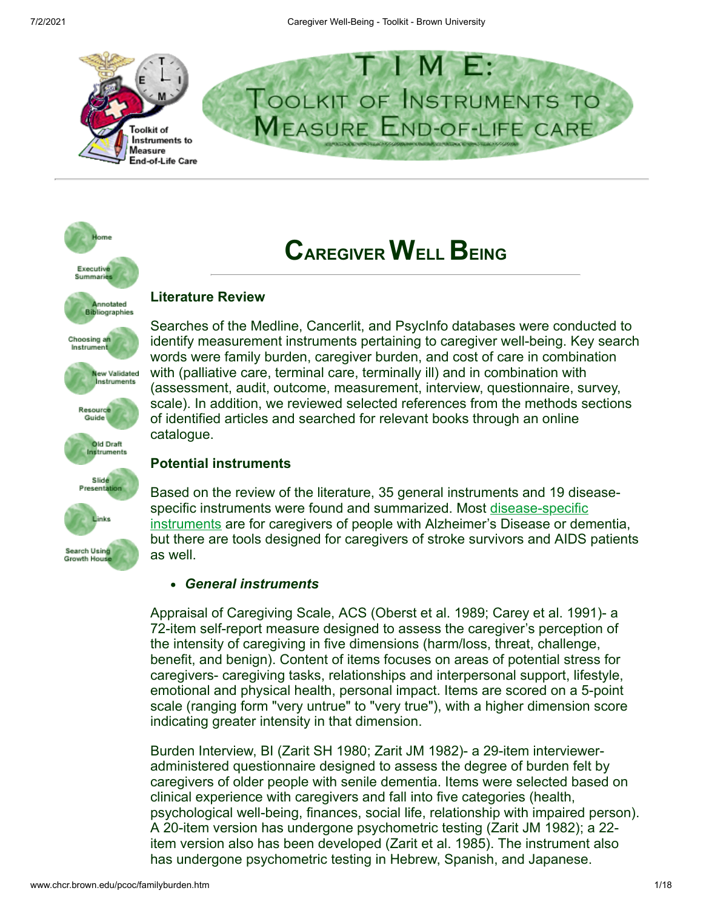

# lome Executive Summarie Annotated **Bibliographies** Choosing an Instrum **New Validated** Instruments Resource Guide **Old Draft** Instruments Slide Presental inks **Search Using** as well. **Growth Hou**

# **CAREGIVER WELL BEING**

# **Literature Review**

Searches of the Medline, Cancerlit, and PsycInfo databases were conducted to identify measurement instruments pertaining to caregiver well-being. Key search words were family burden, caregiver burden, and cost of care in combination with (palliative care, terminal care, terminally ill) and in combination with (assessment, audit, outcome, measurement, interview, questionnaire, survey, scale). In addition, we reviewed selected references from the methods sections of identified articles and searched for relevant books through an online catalogue.

# **Potential instruments**

Based on the review of the literature, 35 general instruments and 19 disease[specific instruments were found and summarized. Most disease-specific](#page-7-0) instruments are for caregivers of people with Alzheimer's Disease or dementia, but there are tools designed for caregivers of stroke survivors and AIDS patients

# *General instruments*

Appraisal of Caregiving Scale, ACS (Oberst et al. 1989; Carey et al. 1991)- a 72-item self-report measure designed to assess the caregiver's perception of the intensity of caregiving in five dimensions (harm/loss, threat, challenge, benefit, and benign). Content of items focuses on areas of potential stress for caregivers- caregiving tasks, relationships and interpersonal support, lifestyle, emotional and physical health, personal impact. Items are scored on a 5-point scale (ranging form "very untrue" to "very true"), with a higher dimension score indicating greater intensity in that dimension.

Burden Interview, BI (Zarit SH 1980; Zarit JM 1982)- a 29-item intervieweradministered questionnaire designed to assess the degree of burden felt by caregivers of older people with senile dementia. Items were selected based on clinical experience with caregivers and fall into five categories (health, psychological well-being, finances, social life, relationship with impaired person). A 20-item version has undergone psychometric testing (Zarit JM 1982); a 22 item version also has been developed (Zarit et al. 1985). The instrument also has undergone psychometric testing in Hebrew, Spanish, and Japanese.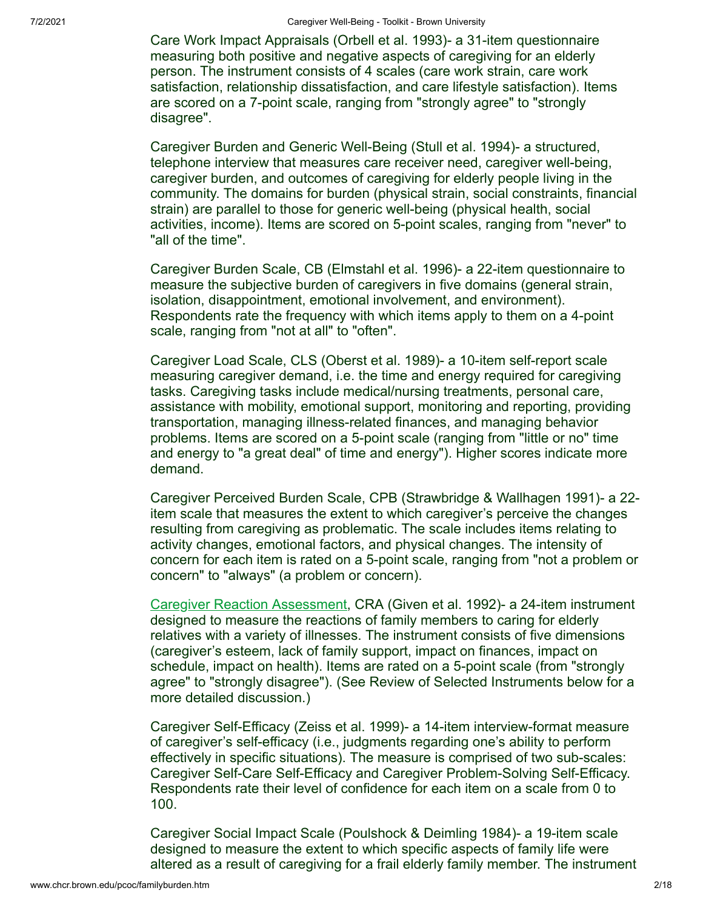Care Work Impact Appraisals (Orbell et al. 1993)- a 31-item questionnaire measuring both positive and negative aspects of caregiving for an elderly person. The instrument consists of 4 scales (care work strain, care work satisfaction, relationship dissatisfaction, and care lifestyle satisfaction). Items are scored on a 7-point scale, ranging from "strongly agree" to "strongly disagree".

Caregiver Burden and Generic Well-Being (Stull et al. 1994)- a structured, telephone interview that measures care receiver need, caregiver well-being, caregiver burden, and outcomes of caregiving for elderly people living in the community. The domains for burden (physical strain, social constraints, financial strain) are parallel to those for generic well-being (physical health, social activities, income). Items are scored on 5-point scales, ranging from "never" to "all of the time".

Caregiver Burden Scale, CB (Elmstahl et al. 1996)- a 22-item questionnaire to measure the subjective burden of caregivers in five domains (general strain, isolation, disappointment, emotional involvement, and environment). Respondents rate the frequency with which items apply to them on a 4-point scale, ranging from "not at all" to "often".

Caregiver Load Scale, CLS (Oberst et al. 1989)- a 10-item self-report scale measuring caregiver demand, i.e. the time and energy required for caregiving tasks. Caregiving tasks include medical/nursing treatments, personal care, assistance with mobility, emotional support, monitoring and reporting, providing transportation, managing illness-related finances, and managing behavior problems. Items are scored on a 5-point scale (ranging from "little or no" time and energy to "a great deal" of time and energy"). Higher scores indicate more demand.

Caregiver Perceived Burden Scale, CPB (Strawbridge & Wallhagen 1991)- a 22 item scale that measures the extent to which caregiver's perceive the changes resulting from caregiving as problematic. The scale includes items relating to activity changes, emotional factors, and physical changes. The intensity of concern for each item is rated on a 5-point scale, ranging from "not a problem or concern" to "always" (a problem or concern).

[Caregiver Reaction Assessment,](#page-9-0) CRA (Given et al. 1992)- a 24-item instrument designed to measure the reactions of family members to caring for elderly relatives with a variety of illnesses. The instrument consists of five dimensions (caregiver's esteem, lack of family support, impact on finances, impact on schedule, impact on health). Items are rated on a 5-point scale (from "strongly agree" to "strongly disagree"). (See Review of Selected Instruments below for a more detailed discussion.)

Caregiver Self-Efficacy (Zeiss et al. 1999)- a 14-item interview-format measure of caregiver's self-efficacy (i.e., judgments regarding one's ability to perform effectively in specific situations). The measure is comprised of two sub-scales: Caregiver Self-Care Self-Efficacy and Caregiver Problem-Solving Self-Efficacy. Respondents rate their level of confidence for each item on a scale from 0 to 100.

Caregiver Social Impact Scale (Poulshock & Deimling 1984)- a 19-item scale designed to measure the extent to which specific aspects of family life were altered as a result of caregiving for a frail elderly family member. The instrument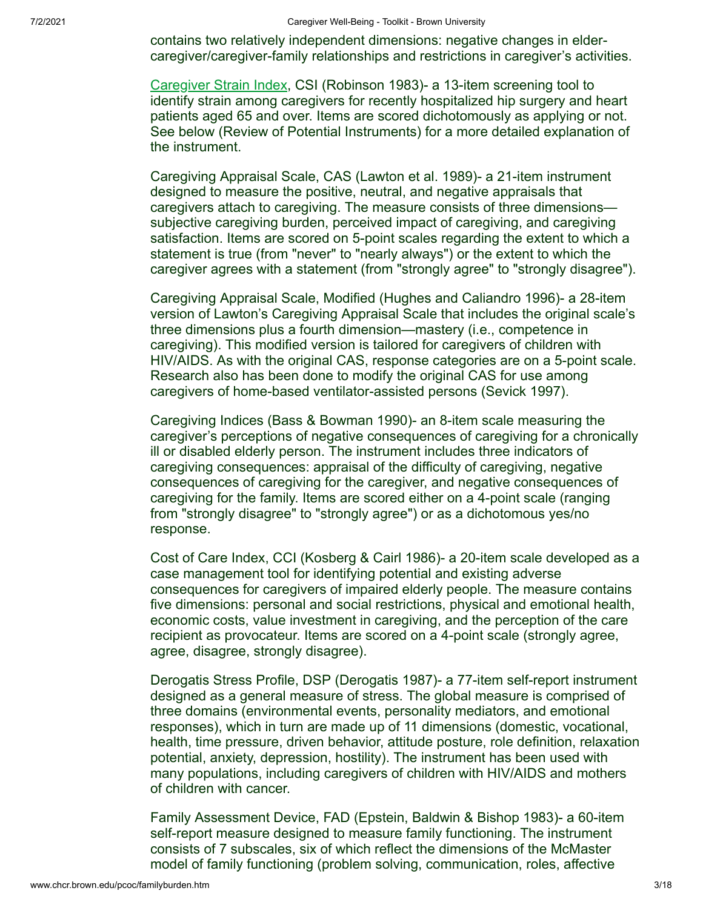contains two relatively independent dimensions: negative changes in eldercaregiver/caregiver-family relationships and restrictions in caregiver's activities.

[Caregiver Strain Index](#page-12-0), CSI (Robinson 1983)- a 13-item screening tool to identify strain among caregivers for recently hospitalized hip surgery and heart patients aged 65 and over. Items are scored dichotomously as applying or not. See below (Review of Potential Instruments) for a more detailed explanation of the instrument.

Caregiving Appraisal Scale, CAS (Lawton et al. 1989)- a 21-item instrument designed to measure the positive, neutral, and negative appraisals that caregivers attach to caregiving. The measure consists of three dimensions subjective caregiving burden, perceived impact of caregiving, and caregiving satisfaction. Items are scored on 5-point scales regarding the extent to which a statement is true (from "never" to "nearly always") or the extent to which the caregiver agrees with a statement (from "strongly agree" to "strongly disagree").

Caregiving Appraisal Scale, Modified (Hughes and Caliandro 1996)- a 28-item version of Lawton's Caregiving Appraisal Scale that includes the original scale's three dimensions plus a fourth dimension—mastery (i.e., competence in caregiving). This modified version is tailored for caregivers of children with HIV/AIDS. As with the original CAS, response categories are on a 5-point scale. Research also has been done to modify the original CAS for use among caregivers of home-based ventilator-assisted persons (Sevick 1997).

Caregiving Indices (Bass & Bowman 1990)- an 8-item scale measuring the caregiver's perceptions of negative consequences of caregiving for a chronically ill or disabled elderly person. The instrument includes three indicators of caregiving consequences: appraisal of the difficulty of caregiving, negative consequences of caregiving for the caregiver, and negative consequences of caregiving for the family. Items are scored either on a 4-point scale (ranging from "strongly disagree" to "strongly agree") or as a dichotomous yes/no response.

Cost of Care Index, CCI (Kosberg & Cairl 1986)- a 20-item scale developed as a case management tool for identifying potential and existing adverse consequences for caregivers of impaired elderly people. The measure contains five dimensions: personal and social restrictions, physical and emotional health, economic costs, value investment in caregiving, and the perception of the care recipient as provocateur. Items are scored on a 4-point scale (strongly agree, agree, disagree, strongly disagree).

Derogatis Stress Profile, DSP (Derogatis 1987)- a 77-item self-report instrument designed as a general measure of stress. The global measure is comprised of three domains (environmental events, personality mediators, and emotional responses), which in turn are made up of 11 dimensions (domestic, vocational, health, time pressure, driven behavior, attitude posture, role definition, relaxation potential, anxiety, depression, hostility). The instrument has been used with many populations, including caregivers of children with HIV/AIDS and mothers of children with cancer.

Family Assessment Device, FAD (Epstein, Baldwin & Bishop 1983)- a 60-item self-report measure designed to measure family functioning. The instrument consists of 7 subscales, six of which reflect the dimensions of the McMaster model of family functioning (problem solving, communication, roles, affective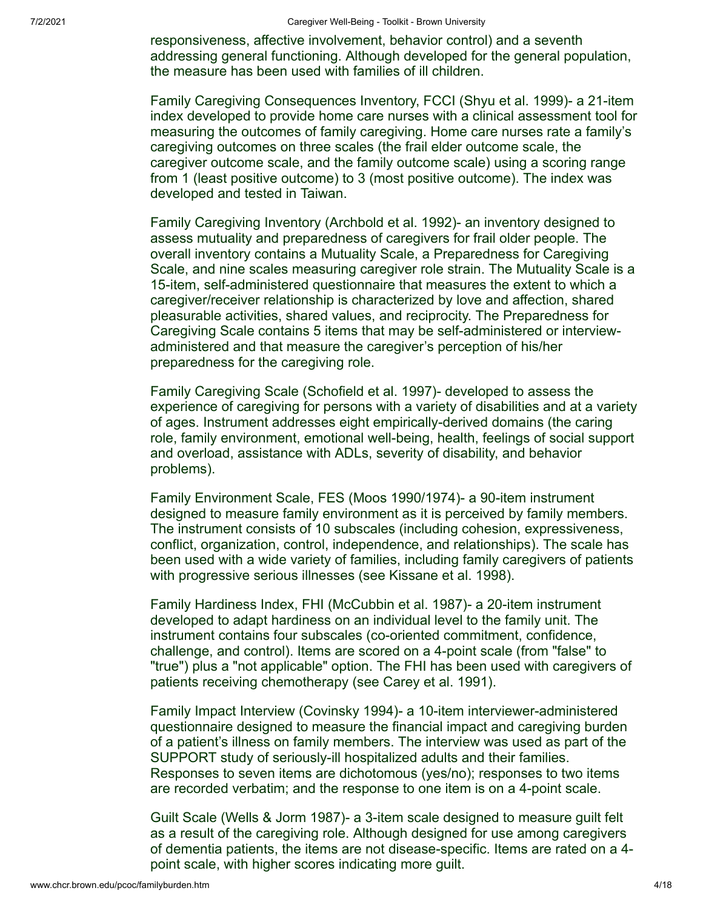responsiveness, affective involvement, behavior control) and a seventh addressing general functioning. Although developed for the general population, the measure has been used with families of ill children.

Family Caregiving Consequences Inventory, FCCI (Shyu et al. 1999)- a 21-item index developed to provide home care nurses with a clinical assessment tool for measuring the outcomes of family caregiving. Home care nurses rate a family's caregiving outcomes on three scales (the frail elder outcome scale, the caregiver outcome scale, and the family outcome scale) using a scoring range from 1 (least positive outcome) to 3 (most positive outcome). The index was developed and tested in Taiwan.

Family Caregiving Inventory (Archbold et al. 1992)- an inventory designed to assess mutuality and preparedness of caregivers for frail older people. The overall inventory contains a Mutuality Scale, a Preparedness for Caregiving Scale, and nine scales measuring caregiver role strain. The Mutuality Scale is a 15-item, self-administered questionnaire that measures the extent to which a caregiver/receiver relationship is characterized by love and affection, shared pleasurable activities, shared values, and reciprocity. The Preparedness for Caregiving Scale contains 5 items that may be self-administered or interviewadministered and that measure the caregiver's perception of his/her preparedness for the caregiving role.

Family Caregiving Scale (Schofield et al. 1997)- developed to assess the experience of caregiving for persons with a variety of disabilities and at a variety of ages. Instrument addresses eight empirically-derived domains (the caring role, family environment, emotional well-being, health, feelings of social support and overload, assistance with ADLs, severity of disability, and behavior problems).

Family Environment Scale, FES (Moos 1990/1974)- a 90-item instrument designed to measure family environment as it is perceived by family members. The instrument consists of 10 subscales (including cohesion, expressiveness, conflict, organization, control, independence, and relationships). The scale has been used with a wide variety of families, including family caregivers of patients with progressive serious illnesses (see Kissane et al. 1998).

Family Hardiness Index, FHI (McCubbin et al. 1987)- a 20-item instrument developed to adapt hardiness on an individual level to the family unit. The instrument contains four subscales (co-oriented commitment, confidence, challenge, and control). Items are scored on a 4-point scale (from "false" to "true") plus a "not applicable" option. The FHI has been used with caregivers of patients receiving chemotherapy (see Carey et al. 1991).

Family Impact Interview (Covinsky 1994)- a 10-item interviewer-administered questionnaire designed to measure the financial impact and caregiving burden of a patient's illness on family members. The interview was used as part of the SUPPORT study of seriously-ill hospitalized adults and their families. Responses to seven items are dichotomous (yes/no); responses to two items are recorded verbatim; and the response to one item is on a 4-point scale.

Guilt Scale (Wells & Jorm 1987)- a 3-item scale designed to measure guilt felt as a result of the caregiving role. Although designed for use among caregivers of dementia patients, the items are not disease-specific. Items are rated on a 4 point scale, with higher scores indicating more guilt.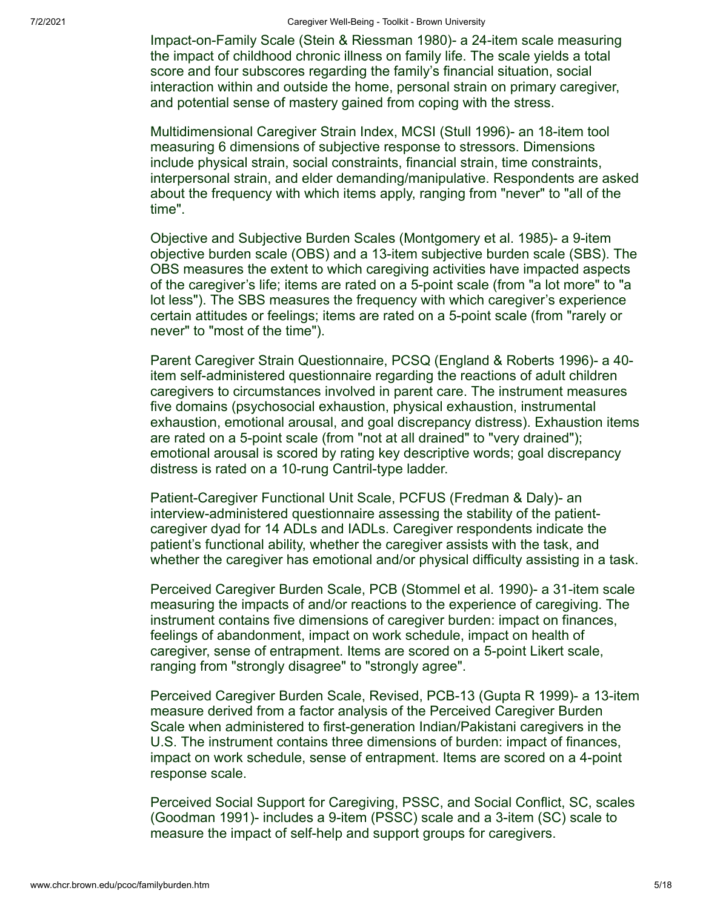Impact-on-Family Scale (Stein & Riessman 1980)- a 24-item scale measuring the impact of childhood chronic illness on family life. The scale yields a total score and four subscores regarding the family's financial situation, social interaction within and outside the home, personal strain on primary caregiver, and potential sense of mastery gained from coping with the stress.

Multidimensional Caregiver Strain Index, MCSI (Stull 1996)- an 18-item tool measuring 6 dimensions of subjective response to stressors. Dimensions include physical strain, social constraints, financial strain, time constraints, interpersonal strain, and elder demanding/manipulative. Respondents are asked about the frequency with which items apply, ranging from "never" to "all of the time".

Objective and Subjective Burden Scales (Montgomery et al. 1985)- a 9-item objective burden scale (OBS) and a 13-item subjective burden scale (SBS). The OBS measures the extent to which caregiving activities have impacted aspects of the caregiver's life; items are rated on a 5-point scale (from "a lot more" to "a lot less"). The SBS measures the frequency with which caregiver's experience certain attitudes or feelings; items are rated on a 5-point scale (from "rarely or never" to "most of the time").

Parent Caregiver Strain Questionnaire, PCSQ (England & Roberts 1996)- a 40 item self-administered questionnaire regarding the reactions of adult children caregivers to circumstances involved in parent care. The instrument measures five domains (psychosocial exhaustion, physical exhaustion, instrumental exhaustion, emotional arousal, and goal discrepancy distress). Exhaustion items are rated on a 5-point scale (from "not at all drained" to "very drained"); emotional arousal is scored by rating key descriptive words; goal discrepancy distress is rated on a 10-rung Cantril-type ladder.

Patient-Caregiver Functional Unit Scale, PCFUS (Fredman & Daly)- an interview-administered questionnaire assessing the stability of the patientcaregiver dyad for 14 ADLs and IADLs. Caregiver respondents indicate the patient's functional ability, whether the caregiver assists with the task, and whether the caregiver has emotional and/or physical difficulty assisting in a task.

Perceived Caregiver Burden Scale, PCB (Stommel et al. 1990)- a 31-item scale measuring the impacts of and/or reactions to the experience of caregiving. The instrument contains five dimensions of caregiver burden: impact on finances, feelings of abandonment, impact on work schedule, impact on health of caregiver, sense of entrapment. Items are scored on a 5-point Likert scale, ranging from "strongly disagree" to "strongly agree".

Perceived Caregiver Burden Scale, Revised, PCB-13 (Gupta R 1999)- a 13-item measure derived from a factor analysis of the Perceived Caregiver Burden Scale when administered to first-generation Indian/Pakistani caregivers in the U.S. The instrument contains three dimensions of burden: impact of finances, impact on work schedule, sense of entrapment. Items are scored on a 4-point response scale.

Perceived Social Support for Caregiving, PSSC, and Social Conflict, SC, scales (Goodman 1991)- includes a 9-item (PSSC) scale and a 3-item (SC) scale to measure the impact of self-help and support groups for caregivers.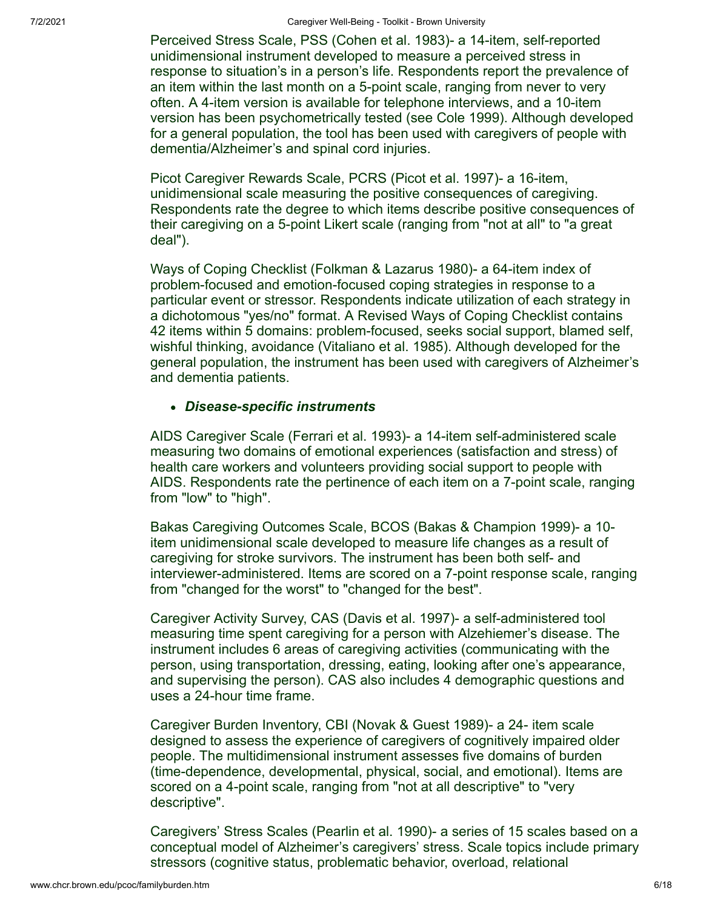Perceived Stress Scale, PSS (Cohen et al. 1983)- a 14-item, self-reported unidimensional instrument developed to measure a perceived stress in response to situation's in a person's life. Respondents report the prevalence of an item within the last month on a 5-point scale, ranging from never to very often. A 4-item version is available for telephone interviews, and a 10-item version has been psychometrically tested (see Cole 1999). Although developed for a general population, the tool has been used with caregivers of people with dementia/Alzheimer's and spinal cord injuries.

Picot Caregiver Rewards Scale, PCRS (Picot et al. 1997)- a 16-item, unidimensional scale measuring the positive consequences of caregiving. Respondents rate the degree to which items describe positive consequences of their caregiving on a 5-point Likert scale (ranging from "not at all" to "a great deal").

Ways of Coping Checklist (Folkman & Lazarus 1980)- a 64-item index of problem-focused and emotion-focused coping strategies in response to a particular event or stressor. Respondents indicate utilization of each strategy in a dichotomous "yes/no" format. A Revised Ways of Coping Checklist contains 42 items within 5 domains: problem-focused, seeks social support, blamed self, wishful thinking, avoidance (Vitaliano et al. 1985). Although developed for the general population, the instrument has been used with caregivers of Alzheimer's and dementia patients.

## <span id="page-7-0"></span>*Disease-specific instruments*

AIDS Caregiver Scale (Ferrari et al. 1993)- a 14-item self-administered scale measuring two domains of emotional experiences (satisfaction and stress) of health care workers and volunteers providing social support to people with AIDS. Respondents rate the pertinence of each item on a 7-point scale, ranging from "low" to "high".

Bakas Caregiving Outcomes Scale, BCOS (Bakas & Champion 1999)- a 10 item unidimensional scale developed to measure life changes as a result of caregiving for stroke survivors. The instrument has been both self- and interviewer-administered. Items are scored on a 7-point response scale, ranging from "changed for the worst" to "changed for the best".

Caregiver Activity Survey, CAS (Davis et al. 1997)- a self-administered tool measuring time spent caregiving for a person with Alzehiemer's disease. The instrument includes 6 areas of caregiving activities (communicating with the person, using transportation, dressing, eating, looking after one's appearance, and supervising the person). CAS also includes 4 demographic questions and uses a 24-hour time frame.

Caregiver Burden Inventory, CBI (Novak & Guest 1989)- a 24- item scale designed to assess the experience of caregivers of cognitively impaired older people. The multidimensional instrument assesses five domains of burden (time-dependence, developmental, physical, social, and emotional). Items are scored on a 4-point scale, ranging from "not at all descriptive" to "very descriptive".

Caregivers' Stress Scales (Pearlin et al. 1990)- a series of 15 scales based on a conceptual model of Alzheimer's caregivers' stress. Scale topics include primary stressors (cognitive status, problematic behavior, overload, relational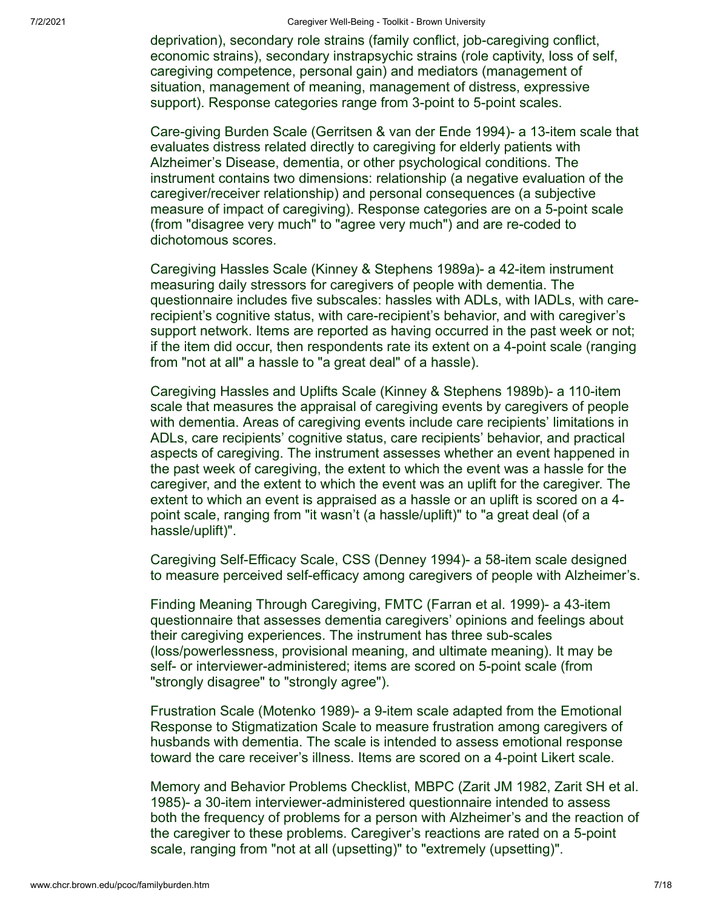deprivation), secondary role strains (family conflict, job-caregiving conflict, economic strains), secondary instrapsychic strains (role captivity, loss of self, caregiving competence, personal gain) and mediators (management of situation, management of meaning, management of distress, expressive support). Response categories range from 3-point to 5-point scales.

Care-giving Burden Scale (Gerritsen & van der Ende 1994)- a 13-item scale that evaluates distress related directly to caregiving for elderly patients with Alzheimer's Disease, dementia, or other psychological conditions. The instrument contains two dimensions: relationship (a negative evaluation of the caregiver/receiver relationship) and personal consequences (a subjective measure of impact of caregiving). Response categories are on a 5-point scale (from "disagree very much" to "agree very much") and are re-coded to dichotomous scores.

Caregiving Hassles Scale (Kinney & Stephens 1989a)- a 42-item instrument measuring daily stressors for caregivers of people with dementia. The questionnaire includes five subscales: hassles with ADLs, with IADLs, with carerecipient's cognitive status, with care-recipient's behavior, and with caregiver's support network. Items are reported as having occurred in the past week or not; if the item did occur, then respondents rate its extent on a 4-point scale (ranging from "not at all" a hassle to "a great deal" of a hassle).

Caregiving Hassles and Uplifts Scale (Kinney & Stephens 1989b)- a 110-item scale that measures the appraisal of caregiving events by caregivers of people with dementia. Areas of caregiving events include care recipients' limitations in ADLs, care recipients' cognitive status, care recipients' behavior, and practical aspects of caregiving. The instrument assesses whether an event happened in the past week of caregiving, the extent to which the event was a hassle for the caregiver, and the extent to which the event was an uplift for the caregiver. The extent to which an event is appraised as a hassle or an uplift is scored on a 4 point scale, ranging from "it wasn't (a hassle/uplift)" to "a great deal (of a hassle/uplift)".

Caregiving Self-Efficacy Scale, CSS (Denney 1994)- a 58-item scale designed to measure perceived self-efficacy among caregivers of people with Alzheimer's.

Finding Meaning Through Caregiving, FMTC (Farran et al. 1999)- a 43-item questionnaire that assesses dementia caregivers' opinions and feelings about their caregiving experiences. The instrument has three sub-scales (loss/powerlessness, provisional meaning, and ultimate meaning). It may be self- or interviewer-administered; items are scored on 5-point scale (from "strongly disagree" to "strongly agree").

Frustration Scale (Motenko 1989)- a 9-item scale adapted from the Emotional Response to Stigmatization Scale to measure frustration among caregivers of husbands with dementia. The scale is intended to assess emotional response toward the care receiver's illness. Items are scored on a 4-point Likert scale.

Memory and Behavior Problems Checklist, MBPC (Zarit JM 1982, Zarit SH et al. 1985)- a 30-item interviewer-administered questionnaire intended to assess both the frequency of problems for a person with Alzheimer's and the reaction of the caregiver to these problems. Caregiver's reactions are rated on a 5-point scale, ranging from "not at all (upsetting)" to "extremely (upsetting)".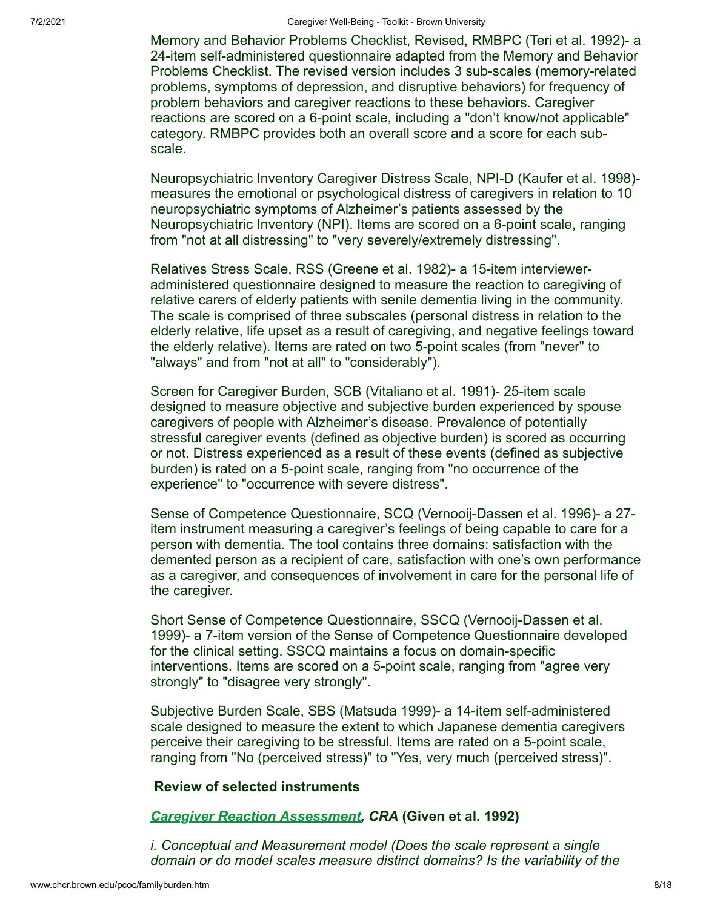7/2/2021 Caregiver Well-Being - Toolkit - Brown University

Memory and Behavior Problems Checklist, Revised, RMBPC (Teri et al. 1992)- a 24-item self-administered questionnaire adapted from the Memory and Behavior Problems Checklist. The revised version includes 3 sub-scales (memory-related problems, symptoms of depression, and disruptive behaviors) for frequency of problem behaviors and caregiver reactions to these behaviors. Caregiver reactions are scored on a 6-point scale, including a "don't know/not applicable" category. RMBPC provides both an overall score and a score for each subscale.

Neuropsychiatric Inventory Caregiver Distress Scale, NPI-D (Kaufer et al. 1998) measures the emotional or psychological distress of caregivers in relation to 10 neuropsychiatric symptoms of Alzheimer's patients assessed by the Neuropsychiatric Inventory (NPI). Items are scored on a 6-point scale, ranging from "not at all distressing" to "very severely/extremely distressing".

Relatives Stress Scale, RSS (Greene et al. 1982)- a 15-item intervieweradministered questionnaire designed to measure the reaction to caregiving of relative carers of elderly patients with senile dementia living in the community. The scale is comprised of three subscales (personal distress in relation to the elderly relative, life upset as a result of caregiving, and negative feelings toward the elderly relative). Items are rated on two 5-point scales (from "never" to "always" and from "not at all" to "considerably").

Screen for Caregiver Burden, SCB (Vitaliano et al. 1991)- 25-item scale designed to measure objective and subjective burden experienced by spouse caregivers of people with Alzheimer's disease. Prevalence of potentially stressful caregiver events (defined as objective burden) is scored as occurring or not. Distress experienced as a result of these events (defined as subjective burden) is rated on a 5-point scale, ranging from "no occurrence of the experience" to "occurrence with severe distress".

Sense of Competence Questionnaire, SCQ (Vernooij-Dassen et al. 1996)- a 27 item instrument measuring a caregiver's feelings of being capable to care for a person with dementia. The tool contains three domains: satisfaction with the demented person as a recipient of care, satisfaction with one's own performance as a caregiver, and consequences of involvement in care for the personal life of the caregiver.

Short Sense of Competence Questionnaire, SSCQ (Vernooij-Dassen et al. 1999)- a 7-item version of the Sense of Competence Questionnaire developed for the clinical setting. SSCQ maintains a focus on domain-specific interventions. Items are scored on a 5-point scale, ranging from "agree very strongly" to "disagree very strongly".

Subjective Burden Scale, SBS (Matsuda 1999)- a 14-item self-administered scale designed to measure the extent to which Japanese dementia caregivers perceive their caregiving to be stressful. Items are rated on a 5-point scale, ranging from "No (perceived stress)" to "Yes, very much (perceived stress)".

## **Review of selected instruments**

## <span id="page-9-0"></span>*[Caregiver Reaction Assessment,](http://www.healthteam.msu.edu/fcrp/tooluse.htm) CRA* **(Given et al. 1992)**

*i. Conceptual and Measurement model (Does the scale represent a single domain or do model scales measure distinct domains? Is the variability of the*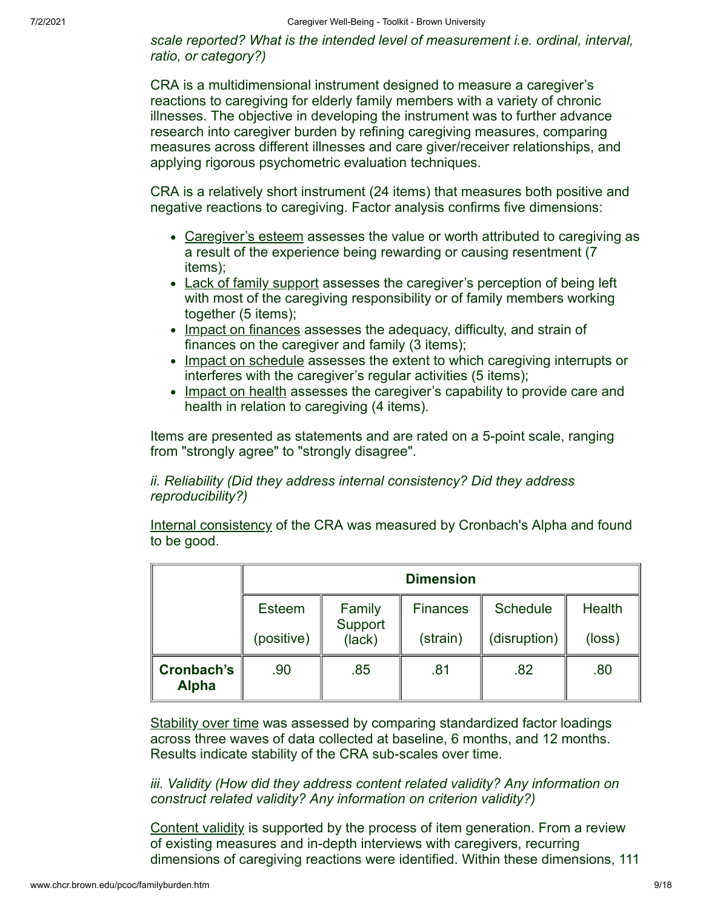*scale reported? What is the intended level of measurement i.e. ordinal, interval, ratio, or category?)*

CRA is a multidimensional instrument designed to measure a caregiver's reactions to caregiving for elderly family members with a variety of chronic illnesses. The objective in developing the instrument was to further advance research into caregiver burden by refining caregiving measures, comparing measures across different illnesses and care giver/receiver relationships, and applying rigorous psychometric evaluation techniques.

CRA is a relatively short instrument (24 items) that measures both positive and negative reactions to caregiving. Factor analysis confirms five dimensions:

- Caregiver's esteem assesses the value or worth attributed to caregiving as a result of the experience being rewarding or causing resentment (7 items);
- Lack of family support assesses the caregiver's perception of being left with most of the caregiving responsibility or of family members working together (5 items);
- Impact on finances assesses the adequacy, difficulty, and strain of finances on the caregiver and family (3 items);
- Impact on schedule assesses the extent to which caregiving interrupts or interferes with the caregiver's regular activities (5 items);
- Impact on health assesses the caregiver's capability to provide care and health in relation to caregiving (4 items).

Items are presented as statements and are rated on a 5-point scale, ranging from "strongly agree" to "strongly disagree".

## *ii. Reliability (Did they address internal consistency? Did they address reproducibility?)*

Internal consistency of the CRA was measured by Cronbach's Alpha and found to be good.

|                            | <b>Dimension</b> |                             |                 |                 |               |  |  |
|----------------------------|------------------|-----------------------------|-----------------|-----------------|---------------|--|--|
|                            | Esteem           | Family<br>Support<br>(lack) | <b>Finances</b> | <b>Schedule</b> | <b>Health</b> |  |  |
|                            | (positive)       |                             | (strain)        | (disruption)    | (loss)        |  |  |
| Cronbach's<br><b>Alpha</b> | .90              | .85                         | .81             | .82             | .80           |  |  |

Stability over time was assessed by comparing standardized factor loadings across three waves of data collected at baseline, 6 months, and 12 months. Results indicate stability of the CRA sub-scales over time.

*iii. Validity (How did they address content related validity? Any information on construct related validity? Any information on criterion validity?)*

Content validity is supported by the process of item generation. From a review of existing measures and in-depth interviews with caregivers, recurring dimensions of caregiving reactions were identified. Within these dimensions, 111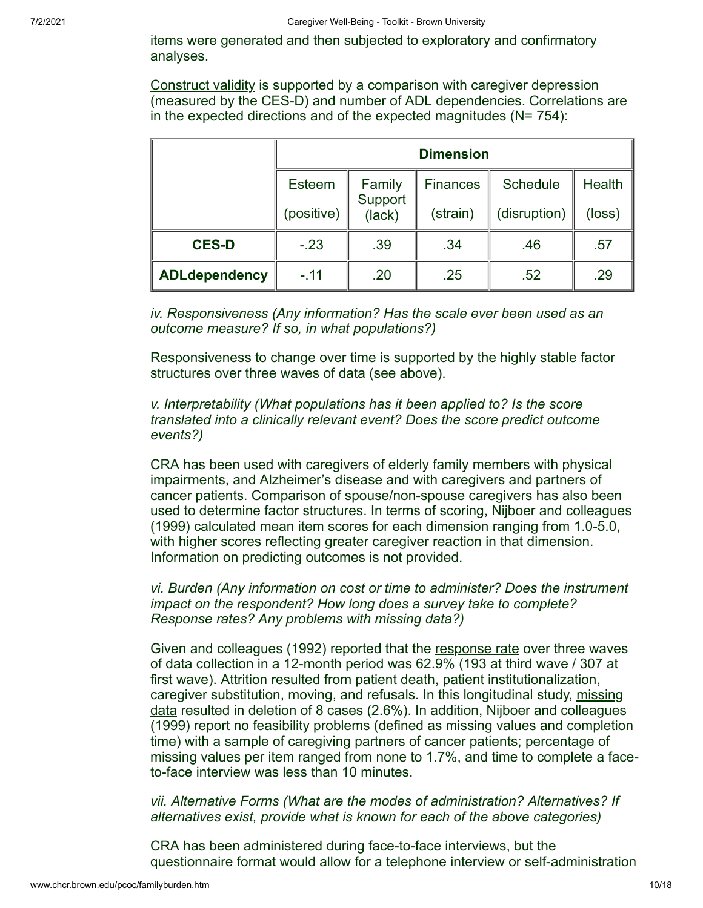items were generated and then subjected to exploratory and confirmatory analyses.

Construct validity is supported by a comparison with caregiver depression (measured by the CES-D) and number of ADL dependencies. Correlations are in the expected directions and of the expected magnitudes ( $N= 754$ ):

|                      | <b>Dimension</b> |                   |                 |                 |        |  |  |
|----------------------|------------------|-------------------|-----------------|-----------------|--------|--|--|
|                      | Esteem           | Family            | <b>Finances</b> | <b>Schedule</b> | Health |  |  |
|                      | (positive)       | Support<br>(lack) | (strain)        | (disruption)    | (loss) |  |  |
| <b>CES-D</b>         | $-.23$           | .39               | .34             | .46             | .57    |  |  |
| <b>ADLdependency</b> | $-11$            | .20               | .25             | .52             | .29    |  |  |

*iv. Responsiveness (Any information? Has the scale ever been used as an outcome measure? If so, in what populations?)*

Responsiveness to change over time is supported by the highly stable factor structures over three waves of data (see above).

*v. Interpretability (What populations has it been applied to? Is the score translated into a clinically relevant event? Does the score predict outcome events?)*

CRA has been used with caregivers of elderly family members with physical impairments, and Alzheimer's disease and with caregivers and partners of cancer patients. Comparison of spouse/non-spouse caregivers has also been used to determine factor structures. In terms of scoring, Nijboer and colleagues (1999) calculated mean item scores for each dimension ranging from 1.0-5.0, with higher scores reflecting greater caregiver reaction in that dimension. Information on predicting outcomes is not provided.

*vi. Burden (Any information on cost or time to administer? Does the instrument impact on the respondent? How long does a survey take to complete? Response rates? Any problems with missing data?)*

Given and colleagues (1992) reported that the response rate over three waves of data collection in a 12-month period was 62.9% (193 at third wave / 307 at first wave). Attrition resulted from patient death, patient institutionalization, caregiver substitution, moving, and refusals. In this longitudinal study, missing data resulted in deletion of 8 cases (2.6%). In addition, Nijboer and colleagues (1999) report no feasibility problems (defined as missing values and completion time) with a sample of caregiving partners of cancer patients; percentage of missing values per item ranged from none to 1.7%, and time to complete a faceto-face interview was less than 10 minutes.

*vii. Alternative Forms (What are the modes of administration? Alternatives? If alternatives exist, provide what is known for each of the above categories)*

CRA has been administered during face-to-face interviews, but the questionnaire format would allow for a telephone interview or self-administration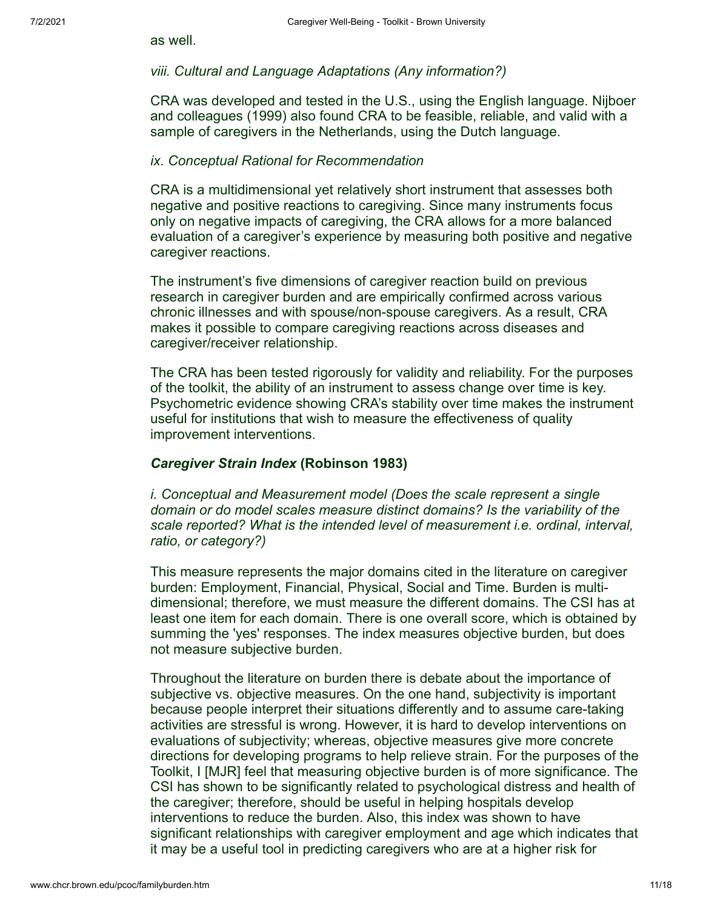as well.

#### *viii. Cultural and Language Adaptations (Any information?)*

CRA was developed and tested in the U.S., using the English language. Nijboer and colleagues (1999) also found CRA to be feasible, reliable, and valid with a sample of caregivers in the Netherlands, using the Dutch language.

#### *ix. Conceptual Rational for Recommendation*

CRA is a multidimensional yet relatively short instrument that assesses both negative and positive reactions to caregiving. Since many instruments focus only on negative impacts of caregiving, the CRA allows for a more balanced evaluation of a caregiver's experience by measuring both positive and negative caregiver reactions.

The instrument's five dimensions of caregiver reaction build on previous research in caregiver burden and are empirically confirmed across various chronic illnesses and with spouse/non-spouse caregivers. As a result, CRA makes it possible to compare caregiving reactions across diseases and caregiver/receiver relationship.

The CRA has been tested rigorously for validity and reliability. For the purposes of the toolkit, the ability of an instrument to assess change over time is key. Psychometric evidence showing CRA's stability over time makes the instrument useful for institutions that wish to measure the effectiveness of quality improvement interventions.

## <span id="page-12-0"></span>*Caregiver Strain Index* **(Robinson 1983)**

*i. Conceptual and Measurement model (Does the scale represent a single domain or do model scales measure distinct domains? Is the variability of the scale reported? What is the intended level of measurement i.e. ordinal, interval, ratio, or category?)* 

This measure represents the major domains cited in the literature on caregiver burden: Employment, Financial, Physical, Social and Time. Burden is multidimensional; therefore, we must measure the different domains. The CSI has at least one item for each domain. There is one overall score, which is obtained by summing the 'yes' responses. The index measures objective burden, but does not measure subjective burden.

Throughout the literature on burden there is debate about the importance of subjective vs. objective measures. On the one hand, subjectivity is important because people interpret their situations differently and to assume care-taking activities are stressful is wrong. However, it is hard to develop interventions on evaluations of subjectivity; whereas, objective measures give more concrete directions for developing programs to help relieve strain. For the purposes of the Toolkit, I [MJR] feel that measuring objective burden is of more significance. The CSI has shown to be significantly related to psychological distress and health of the caregiver; therefore, should be useful in helping hospitals develop interventions to reduce the burden. Also, this index was shown to have significant relationships with caregiver employment and age which indicates that it may be a useful tool in predicting caregivers who are at a higher risk for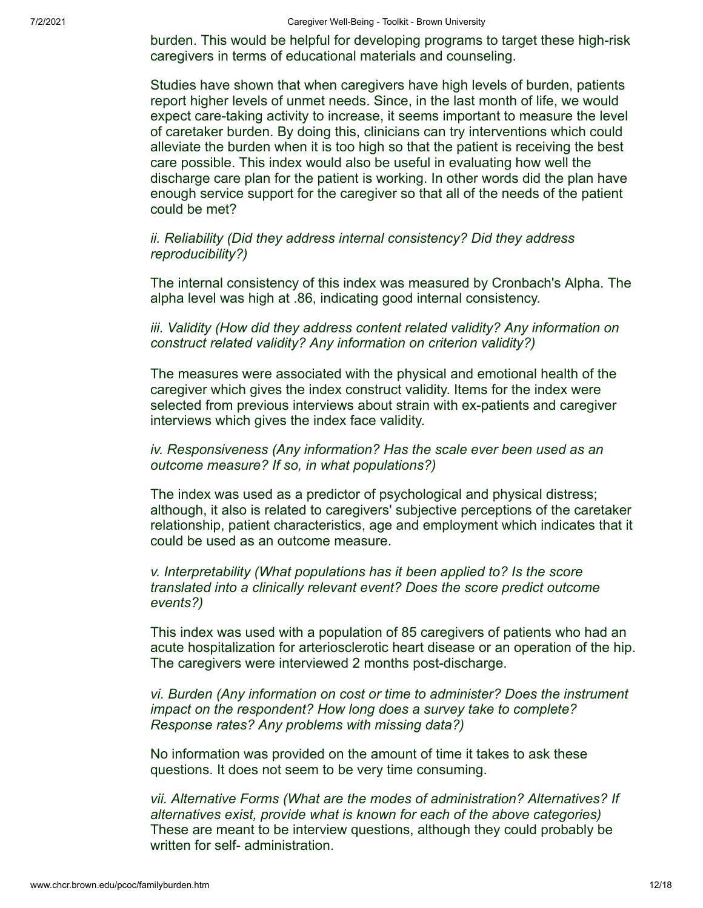7/2/2021 Caregiver Well-Being - Toolkit - Brown University

burden. This would be helpful for developing programs to target these high-risk caregivers in terms of educational materials and counseling.

Studies have shown that when caregivers have high levels of burden, patients report higher levels of unmet needs. Since, in the last month of life, we would expect care-taking activity to increase, it seems important to measure the level of caretaker burden. By doing this, clinicians can try interventions which could alleviate the burden when it is too high so that the patient is receiving the best care possible. This index would also be useful in evaluating how well the discharge care plan for the patient is working. In other words did the plan have enough service support for the caregiver so that all of the needs of the patient could be met?

*ii. Reliability (Did they address internal consistency? Did they address reproducibility?)*

The internal consistency of this index was measured by Cronbach's Alpha. The alpha level was high at .86, indicating good internal consistency.

*iii. Validity (How did they address content related validity? Any information on construct related validity? Any information on criterion validity?)* 

The measures were associated with the physical and emotional health of the caregiver which gives the index construct validity. Items for the index were selected from previous interviews about strain with ex-patients and caregiver interviews which gives the index face validity.

## *iv. Responsiveness (Any information? Has the scale ever been used as an outcome measure? If so, in what populations?)*

The index was used as a predictor of psychological and physical distress; although, it also is related to caregivers' subjective perceptions of the caretaker relationship, patient characteristics, age and employment which indicates that it could be used as an outcome measure.

*v. Interpretability (What populations has it been applied to? Is the score translated into a clinically relevant event? Does the score predict outcome events?)*

This index was used with a population of 85 caregivers of patients who had an acute hospitalization for arteriosclerotic heart disease or an operation of the hip. The caregivers were interviewed 2 months post-discharge.

*vi. Burden (Any information on cost or time to administer? Does the instrument impact on the respondent? How long does a survey take to complete? Response rates? Any problems with missing data?)*

No information was provided on the amount of time it takes to ask these questions. It does not seem to be very time consuming.

*vii. Alternative Forms (What are the modes of administration? Alternatives? If alternatives exist, provide what is known for each of the above categories)* These are meant to be interview questions, although they could probably be written for self- administration.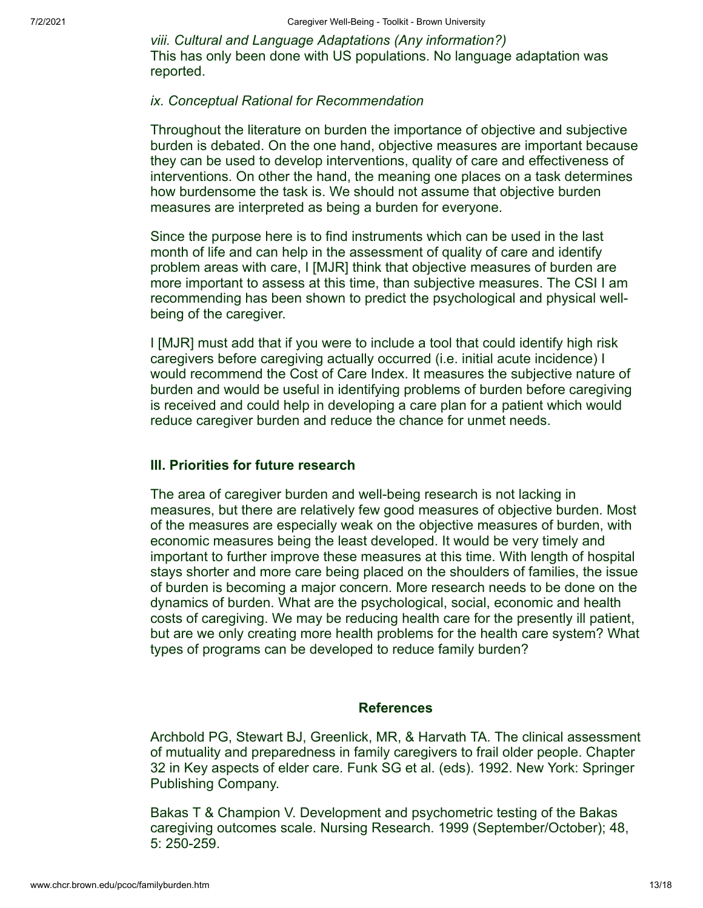*viii. Cultural and Language Adaptations (Any information?)*  This has only been done with US populations. No language adaptation was reported.

#### *ix. Conceptual Rational for Recommendation*

Throughout the literature on burden the importance of objective and subjective burden is debated. On the one hand, objective measures are important because they can be used to develop interventions, quality of care and effectiveness of interventions. On other the hand, the meaning one places on a task determines how burdensome the task is. We should not assume that objective burden measures are interpreted as being a burden for everyone.

Since the purpose here is to find instruments which can be used in the last month of life and can help in the assessment of quality of care and identify problem areas with care, I [MJR] think that objective measures of burden are more important to assess at this time, than subjective measures. The CSI I am recommending has been shown to predict the psychological and physical wellbeing of the caregiver.

I [MJR] must add that if you were to include a tool that could identify high risk caregivers before caregiving actually occurred (i.e. initial acute incidence) I would recommend the Cost of Care Index. It measures the subjective nature of burden and would be useful in identifying problems of burden before caregiving is received and could help in developing a care plan for a patient which would reduce caregiver burden and reduce the chance for unmet needs.

## **III. Priorities for future research**

The area of caregiver burden and well-being research is not lacking in measures, but there are relatively few good measures of objective burden. Most of the measures are especially weak on the objective measures of burden, with economic measures being the least developed. It would be very timely and important to further improve these measures at this time. With length of hospital stays shorter and more care being placed on the shoulders of families, the issue of burden is becoming a major concern. More research needs to be done on the dynamics of burden. What are the psychological, social, economic and health costs of caregiving. We may be reducing health care for the presently ill patient, but are we only creating more health problems for the health care system? What types of programs can be developed to reduce family burden?

#### **References**

Archbold PG, Stewart BJ, Greenlick, MR, & Harvath TA. The clinical assessment of mutuality and preparedness in family caregivers to frail older people. Chapter 32 in Key aspects of elder care. Funk SG et al. (eds). 1992. New York: Springer Publishing Company.

Bakas T & Champion V. Development and psychometric testing of the Bakas caregiving outcomes scale. Nursing Research. 1999 (September/October); 48, 5: 250-259.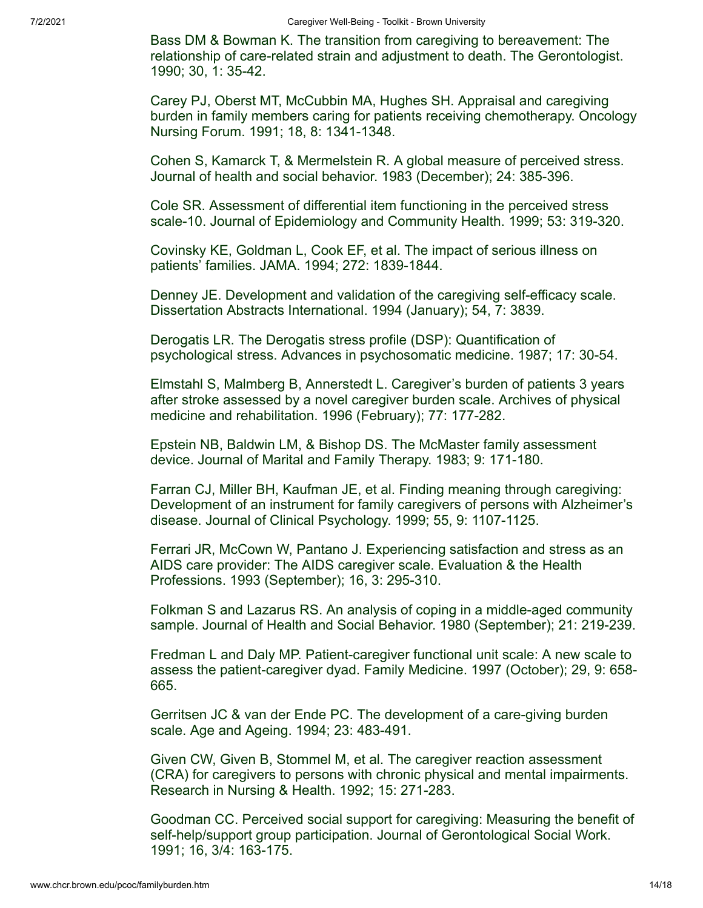Bass DM & Bowman K. The transition from caregiving to bereavement: The relationship of care-related strain and adjustment to death. The Gerontologist. 1990; 30, 1: 35-42.

Carey PJ, Oberst MT, McCubbin MA, Hughes SH. Appraisal and caregiving burden in family members caring for patients receiving chemotherapy. Oncology Nursing Forum. 1991; 18, 8: 1341-1348.

Cohen S, Kamarck T, & Mermelstein R. A global measure of perceived stress. Journal of health and social behavior. 1983 (December); 24: 385-396.

Cole SR. Assessment of differential item functioning in the perceived stress scale-10. Journal of Epidemiology and Community Health. 1999; 53: 319-320.

Covinsky KE, Goldman L, Cook EF, et al. The impact of serious illness on patients' families. JAMA. 1994; 272: 1839-1844.

Denney JE. Development and validation of the caregiving self-efficacy scale. Dissertation Abstracts International. 1994 (January); 54, 7: 3839.

Derogatis LR. The Derogatis stress profile (DSP): Quantification of psychological stress. Advances in psychosomatic medicine. 1987; 17: 30-54.

Elmstahl S, Malmberg B, Annerstedt L. Caregiver's burden of patients 3 years after stroke assessed by a novel caregiver burden scale. Archives of physical medicine and rehabilitation. 1996 (February); 77: 177-282.

Epstein NB, Baldwin LM, & Bishop DS. The McMaster family assessment device. Journal of Marital and Family Therapy. 1983; 9: 171-180.

Farran CJ, Miller BH, Kaufman JE, et al. Finding meaning through caregiving: Development of an instrument for family caregivers of persons with Alzheimer's disease. Journal of Clinical Psychology. 1999; 55, 9: 1107-1125.

Ferrari JR, McCown W, Pantano J. Experiencing satisfaction and stress as an AIDS care provider: The AIDS caregiver scale. Evaluation & the Health Professions. 1993 (September); 16, 3: 295-310.

Folkman S and Lazarus RS. An analysis of coping in a middle-aged community sample. Journal of Health and Social Behavior. 1980 (September); 21: 219-239.

Fredman L and Daly MP. Patient-caregiver functional unit scale: A new scale to assess the patient-caregiver dyad. Family Medicine. 1997 (October); 29, 9: 658- 665.

Gerritsen JC & van der Ende PC. The development of a care-giving burden scale. Age and Ageing. 1994; 23: 483-491.

Given CW, Given B, Stommel M, et al. The caregiver reaction assessment (CRA) for caregivers to persons with chronic physical and mental impairments. Research in Nursing & Health. 1992; 15: 271-283.

Goodman CC. Perceived social support for caregiving: Measuring the benefit of self-help/support group participation. Journal of Gerontological Social Work. 1991; 16, 3/4: 163-175.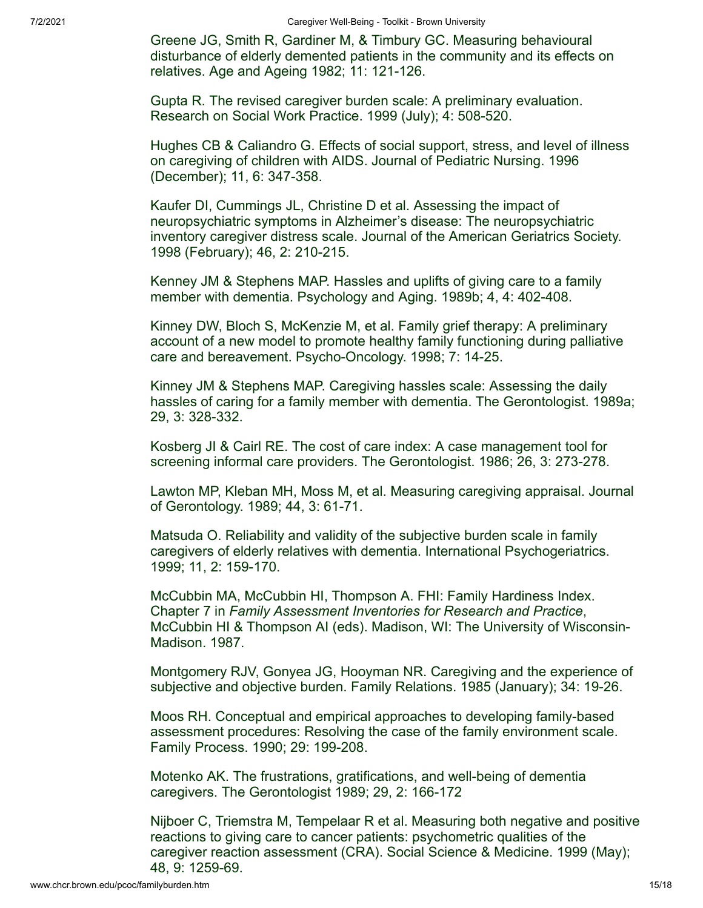Greene JG, Smith R, Gardiner M, & Timbury GC. Measuring behavioural disturbance of elderly demented patients in the community and its effects on relatives. Age and Ageing 1982; 11: 121-126.

Gupta R. The revised caregiver burden scale: A preliminary evaluation. Research on Social Work Practice. 1999 (July); 4: 508-520.

Hughes CB & Caliandro G. Effects of social support, stress, and level of illness on caregiving of children with AIDS. Journal of Pediatric Nursing. 1996 (December); 11, 6: 347-358.

Kaufer DI, Cummings JL, Christine D et al. Assessing the impact of neuropsychiatric symptoms in Alzheimer's disease: The neuropsychiatric inventory caregiver distress scale. Journal of the American Geriatrics Society. 1998 (February); 46, 2: 210-215.

Kenney JM & Stephens MAP. Hassles and uplifts of giving care to a family member with dementia. Psychology and Aging. 1989b; 4, 4: 402-408.

Kinney DW, Bloch S, McKenzie M, et al. Family grief therapy: A preliminary account of a new model to promote healthy family functioning during palliative care and bereavement. Psycho-Oncology. 1998; 7: 14-25.

Kinney JM & Stephens MAP. Caregiving hassles scale: Assessing the daily hassles of caring for a family member with dementia. The Gerontologist. 1989a; 29, 3: 328-332.

Kosberg JI & Cairl RE. The cost of care index: A case management tool for screening informal care providers. The Gerontologist. 1986; 26, 3: 273-278.

Lawton MP, Kleban MH, Moss M, et al. Measuring caregiving appraisal. Journal of Gerontology. 1989; 44, 3: 61-71.

Matsuda O. Reliability and validity of the subjective burden scale in family caregivers of elderly relatives with dementia. International Psychogeriatrics. 1999; 11, 2: 159-170.

McCubbin MA, McCubbin HI, Thompson A. FHI: Family Hardiness Index. Chapter 7 in *Family Assessment Inventories for Research and Practice*, McCubbin HI & Thompson AI (eds). Madison, WI: The University of Wisconsin-Madison. 1987.

Montgomery RJV, Gonyea JG, Hooyman NR. Caregiving and the experience of subjective and objective burden. Family Relations. 1985 (January); 34: 19-26.

Moos RH. Conceptual and empirical approaches to developing family-based assessment procedures: Resolving the case of the family environment scale. Family Process. 1990; 29: 199-208.

Motenko AK. The frustrations, gratifications, and well-being of dementia caregivers. The Gerontologist 1989; 29, 2: 166-172

Nijboer C, Triemstra M, Tempelaar R et al. Measuring both negative and positive reactions to giving care to cancer patients: psychometric qualities of the caregiver reaction assessment (CRA). Social Science & Medicine. 1999 (May); 48, 9: 1259-69.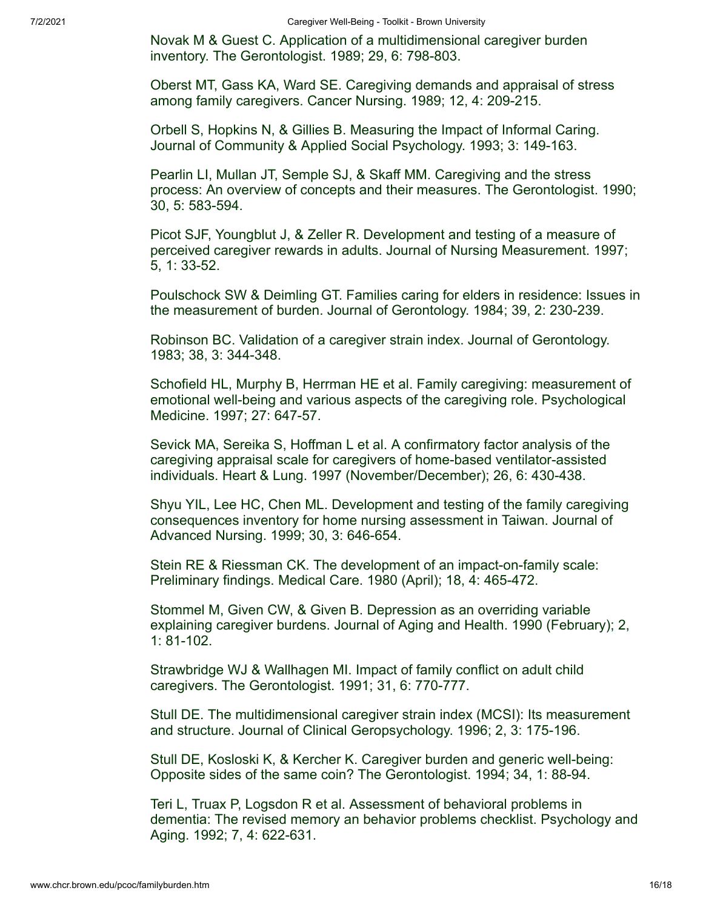Novak M & Guest C. Application of a multidimensional caregiver burden inventory. The Gerontologist. 1989; 29, 6: 798-803.

Oberst MT, Gass KA, Ward SE. Caregiving demands and appraisal of stress among family caregivers. Cancer Nursing. 1989; 12, 4: 209-215.

Orbell S, Hopkins N, & Gillies B. Measuring the Impact of Informal Caring. Journal of Community & Applied Social Psychology. 1993; 3: 149-163.

Pearlin LI, Mullan JT, Semple SJ, & Skaff MM. Caregiving and the stress process: An overview of concepts and their measures. The Gerontologist. 1990; 30, 5: 583-594.

Picot SJF, Youngblut J, & Zeller R. Development and testing of a measure of perceived caregiver rewards in adults. Journal of Nursing Measurement. 1997; 5, 1: 33-52.

Poulschock SW & Deimling GT. Families caring for elders in residence: Issues in the measurement of burden. Journal of Gerontology. 1984; 39, 2: 230-239.

Robinson BC. Validation of a caregiver strain index. Journal of Gerontology. 1983; 38, 3: 344-348.

Schofield HL, Murphy B, Herrman HE et al. Family caregiving: measurement of emotional well-being and various aspects of the caregiving role. Psychological Medicine. 1997; 27: 647-57.

Sevick MA, Sereika S, Hoffman L et al. A confirmatory factor analysis of the caregiving appraisal scale for caregivers of home-based ventilator-assisted individuals. Heart & Lung. 1997 (November/December); 26, 6: 430-438.

Shyu YIL, Lee HC, Chen ML. Development and testing of the family caregiving consequences inventory for home nursing assessment in Taiwan. Journal of Advanced Nursing. 1999; 30, 3: 646-654.

Stein RE & Riessman CK. The development of an impact-on-family scale: Preliminary findings. Medical Care. 1980 (April); 18, 4: 465-472.

Stommel M, Given CW, & Given B. Depression as an overriding variable explaining caregiver burdens. Journal of Aging and Health. 1990 (February); 2, 1: 81-102.

Strawbridge WJ & Wallhagen MI. Impact of family conflict on adult child caregivers. The Gerontologist. 1991; 31, 6: 770-777.

Stull DE. The multidimensional caregiver strain index (MCSI): Its measurement and structure. Journal of Clinical Geropsychology. 1996; 2, 3: 175-196.

Stull DE, Kosloski K, & Kercher K. Caregiver burden and generic well-being: Opposite sides of the same coin? The Gerontologist. 1994; 34, 1: 88-94.

Teri L, Truax P, Logsdon R et al. Assessment of behavioral problems in dementia: The revised memory an behavior problems checklist. Psychology and Aging. 1992; 7, 4: 622-631.